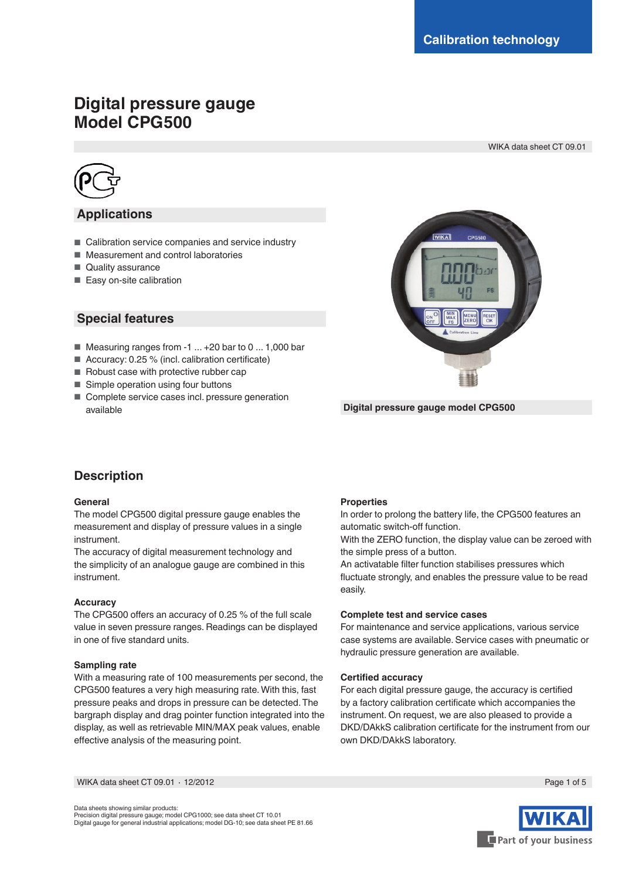# **Digital pressure gauge Model CPG500**

WIKA data sheet CT 09.01



## **Applications**

- Calibration service companies and service industry
- Measurement and control laboratories
- Quality assurance
- Easy on-site calibration

| <b>Special features</b> |  |
|-------------------------|--|
|-------------------------|--|

- Measuring ranges from -1 ... +20 bar to 0 ... 1,000 bar
- Accuracy: 0.25 % (incl. calibration certificate)
- Robust case with protective rubber cap
- Simple operation using four buttons
- Complete service cases incl. pressure generation available



**Digital pressure gauge model CPG500**

## **Description**

#### **General**

The model CPG500 digital pressure gauge enables the measurement and display of pressure values in a single instrument.

The accuracy of digital measurement technology and the simplicity of an analogue gauge are combined in this instrument.

### **Accuracy**

The CPG500 offers an accuracy of 0.25 % of the full scale value in seven pressure ranges. Readings can be displayed in one of five standard units.

#### **Sampling rate**

With a measuring rate of 100 measurements per second, the CPG500 features a very high measuring rate. With this, fast pressure peaks and drops in pressure can be detected. The bargraph display and drag pointer function integrated into the display, as well as retrievable MIN/MAX peak values, enable effective analysis of the measuring point.

#### **Properties**

In order to prolong the battery life, the CPG500 features an automatic switch-off function.

With the ZERO function, the display value can be zeroed with the simple press of a button.

An activatable filter function stabilises pressures which fluctuate strongly, and enables the pressure value to be read easily.

#### **Complete test and service cases**

For maintenance and service applications, various service case systems are available. Service cases with pneumatic or hydraulic pressure generation are available.

#### **Certified accuracy**

For each digital pressure gauge, the accuracy is certified by a factory calibration certificate which accompanies the instrument. On request, we are also pleased to provide a DKD/DAkkS calibration certificate for the instrument from our own DKD/DAkkS laboratory.

WIKA data sheet CT 09.01 ∙ 12/2012 Page 1 of 5

Data sheets showing similar products: Precision digital pressure gauge; model CPG1000; see data sheet CT 10.01 Digital gauge for general industrial applications; model DG-10; see data sheet PE 81.66

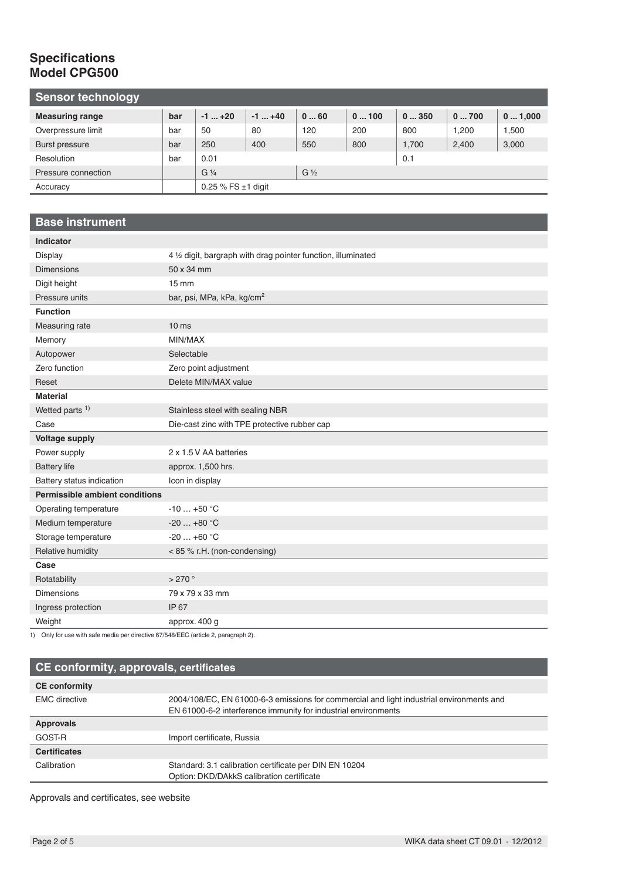## **Specifications Model CPG500**

| <b>Sensor technology</b> |     |                         |            |                |      |       |       |        |
|--------------------------|-----|-------------------------|------------|----------------|------|-------|-------|--------|
| <b>Measuring range</b>   | bar | $-1$ +20                | $-1$ $+40$ | 060            | 0100 | 0350  | 0700  | 01,000 |
| Overpressure limit       | bar | 50                      | 80         | 120            | 200  | 800   | 1.200 | 1,500  |
| Burst pressure           | bar | 250                     | 400        | 550            | 800  | 1.700 | 2,400 | 3,000  |
| Resolution               | bar | 0.01                    |            |                |      | 0.1   |       |        |
| Pressure connection      |     | $G\frac{1}{4}$          |            | $G\frac{1}{2}$ |      |       |       |        |
| Accuracy                 |     | 0.25 % FS $\pm$ 1 digit |            |                |      |       |       |        |

## **Base instrument**

| <b>Indicator</b>                      |                                                               |
|---------------------------------------|---------------------------------------------------------------|
| <b>Display</b>                        | 4 1/2 digit, bargraph with drag pointer function, illuminated |
| <b>Dimensions</b>                     | 50 x 34 mm                                                    |
| Digit height                          | $15 \, \text{mm}$                                             |
| Pressure units                        | bar, psi, MPa, kPa, kg/cm <sup>2</sup>                        |
| <b>Function</b>                       |                                                               |
| Measuring rate                        | 10 <sub>ms</sub>                                              |
| Memory                                | MIN/MAX                                                       |
| Autopower                             | Selectable                                                    |
| Zero function                         | Zero point adjustment                                         |
| Reset                                 | Delete MIN/MAX value                                          |
| <b>Material</b>                       |                                                               |
| Wetted parts <sup>1)</sup>            | Stainless steel with sealing NBR                              |
| Case                                  | Die-cast zinc with TPE protective rubber cap                  |
| <b>Voltage supply</b>                 |                                                               |
| Power supply                          | 2 x 1.5 V AA batteries                                        |
| <b>Battery life</b>                   | approx. 1,500 hrs.                                            |
| Battery status indication             | Icon in display                                               |
| <b>Permissible ambient conditions</b> |                                                               |
| Operating temperature                 | $-10+50$ °C                                                   |
| Medium temperature                    | $-20+80$ °C                                                   |
| Storage temperature                   | $-20+60$ °C                                                   |
| Relative humidity                     | <85 % r.H. (non-condensing)                                   |
| Case                                  |                                                               |
| Rotatability                          | >270                                                          |
| <b>Dimensions</b>                     | 79 x 79 x 33 mm                                               |
| Ingress protection                    | IP 67                                                         |
| Weight                                | approx. 400 g                                                 |

1) Only for use with safe media per directive 67/548/EEC (article 2, paragraph 2).

| CE conformity, approvals, certificates |                                                                                          |  |  |  |  |
|----------------------------------------|------------------------------------------------------------------------------------------|--|--|--|--|
| <b>CE conformity</b>                   |                                                                                          |  |  |  |  |
| <b>EMC</b> directive                   | 2004/108/EC, EN 61000-6-3 emissions for commercial and light industrial environments and |  |  |  |  |
|                                        | EN 61000-6-2 interference immunity for industrial environments                           |  |  |  |  |
| <b>Approvals</b>                       |                                                                                          |  |  |  |  |
| <b>GOST R</b>                          | Import certificate, Russia                                                               |  |  |  |  |
| <b>Certificates</b>                    |                                                                                          |  |  |  |  |
| Calibration                            | Standard: 3.1 calibration certificate per DIN EN 10204                                   |  |  |  |  |
|                                        | Option: DKD/DAkkS calibration certificate                                                |  |  |  |  |

Approvals and certificates, see website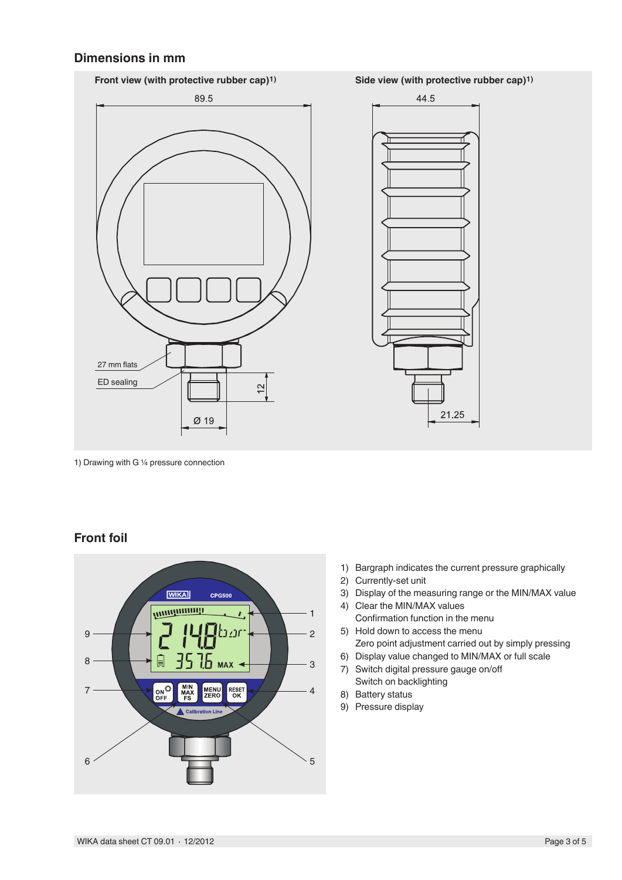## **Dimensions in mm**



1) Drawing with G ¼ pressure connection

## **Front foil**



- 1) Bargraph indicates the current pressure graphically
- 2) Currently-set unit
- 3) Display of the measuring range or the MIN/MAX value
- 4) Clear the MIN/MAX values Confirmation function in the menu
- 5) Hold down to access the menu Zero point adjustment carried out by simply pressing
- 6) Display value changed to MIN/MAX or full scale
- 7) Switch digital pressure gauge on/off Switch on backlighting
- 8) Battery status
- 9) Pressure display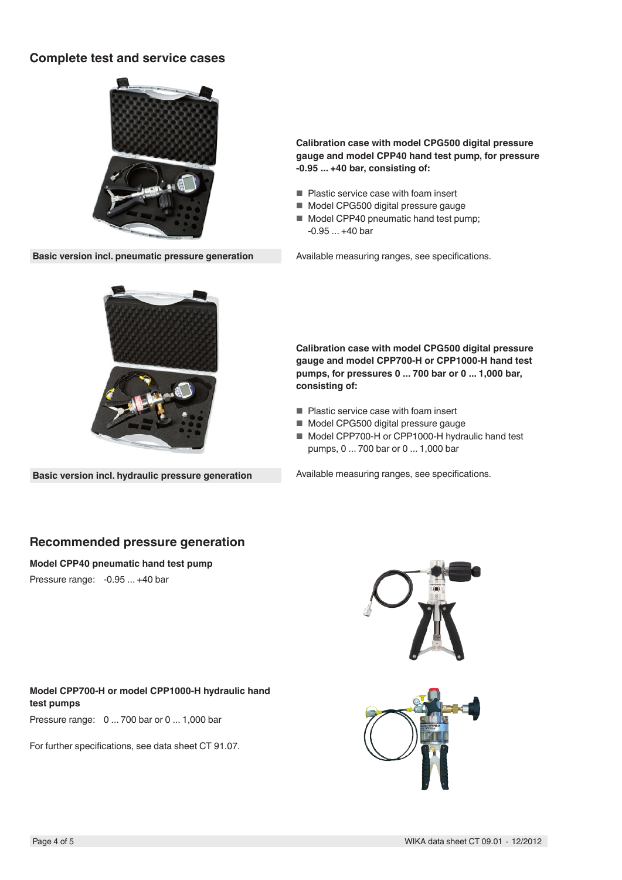## **Complete test and service cases**



**Basic version incl. pneumatic pressure generation** Available measuring ranges, see specifications.

**Calibration case with model CPG500 digital pressure gauge and model CPP40 hand test pump, for pressure -0.95 ... +40 bar, consisting of:**

- Plastic service case with foam insert
- Model CPG500 digital pressure gauge
- Model CPP40 pneumatic hand test pump; -0.95 ... +40 bar



**Basic version incl. hydraulic pressure generation**

### **Calibration case with model CPG500 digital pressure gauge and model CPP700-H or CPP1000-H hand test pumps, for pressures 0 ... 700 bar or 0 ... 1,000 bar, consisting of:**

- Plastic service case with foam insert
- Model CPG500 digital pressure gauge
- Model CPP700-H or CPP1000-H hydraulic hand test pumps, 0 ... 700 bar or 0 ... 1,000 bar

Available measuring ranges, see specifications.

## **Recommended pressure generation**

**Model CPP40 pneumatic hand test pump**

Pressure range: -0.95 ... +40 bar



**Model CPP700-H or model CPP1000-H hydraulic hand test pumps**

Pressure range: 0 ... 700 bar or 0 ... 1,000 bar

For further specifications, see data sheet CT 91.07.